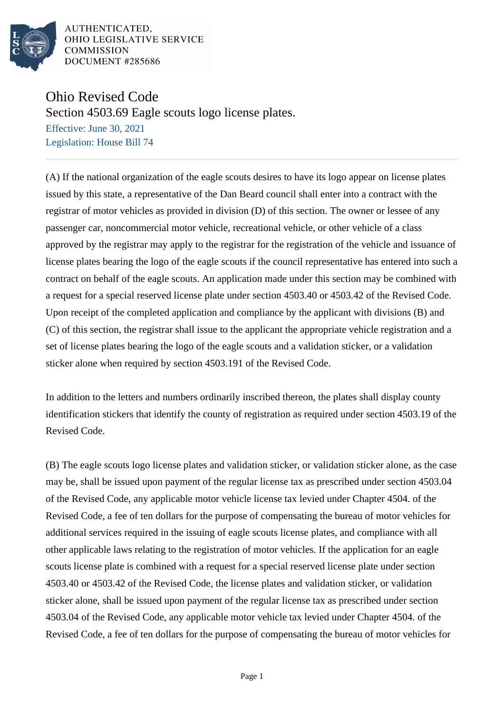

AUTHENTICATED. OHIO LEGISLATIVE SERVICE **COMMISSION** DOCUMENT #285686

## Ohio Revised Code

Section 4503.69 Eagle scouts logo license plates.

Effective: June 30, 2021 Legislation: House Bill 74

(A) If the national organization of the eagle scouts desires to have its logo appear on license plates issued by this state, a representative of the Dan Beard council shall enter into a contract with the registrar of motor vehicles as provided in division (D) of this section. The owner or lessee of any passenger car, noncommercial motor vehicle, recreational vehicle, or other vehicle of a class approved by the registrar may apply to the registrar for the registration of the vehicle and issuance of license plates bearing the logo of the eagle scouts if the council representative has entered into such a contract on behalf of the eagle scouts. An application made under this section may be combined with a request for a special reserved license plate under section 4503.40 or 4503.42 of the Revised Code. Upon receipt of the completed application and compliance by the applicant with divisions (B) and (C) of this section, the registrar shall issue to the applicant the appropriate vehicle registration and a set of license plates bearing the logo of the eagle scouts and a validation sticker, or a validation sticker alone when required by section 4503.191 of the Revised Code.

In addition to the letters and numbers ordinarily inscribed thereon, the plates shall display county identification stickers that identify the county of registration as required under section 4503.19 of the Revised Code.

(B) The eagle scouts logo license plates and validation sticker, or validation sticker alone, as the case may be, shall be issued upon payment of the regular license tax as prescribed under section 4503.04 of the Revised Code, any applicable motor vehicle license tax levied under Chapter 4504. of the Revised Code, a fee of ten dollars for the purpose of compensating the bureau of motor vehicles for additional services required in the issuing of eagle scouts license plates, and compliance with all other applicable laws relating to the registration of motor vehicles. If the application for an eagle scouts license plate is combined with a request for a special reserved license plate under section 4503.40 or 4503.42 of the Revised Code, the license plates and validation sticker, or validation sticker alone, shall be issued upon payment of the regular license tax as prescribed under section 4503.04 of the Revised Code, any applicable motor vehicle tax levied under Chapter 4504. of the Revised Code, a fee of ten dollars for the purpose of compensating the bureau of motor vehicles for